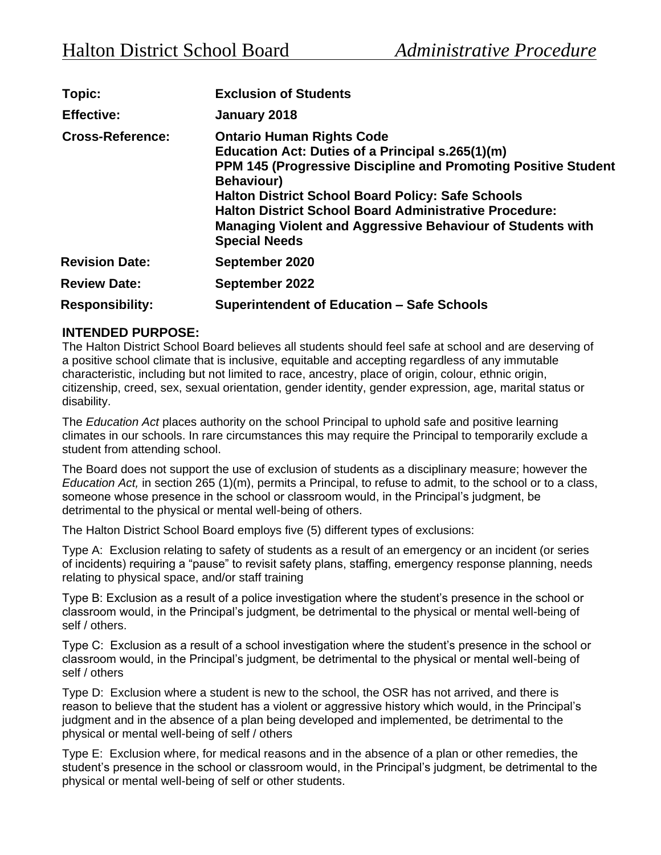| Topic:                  | <b>Exclusion of Students</b>                                                                                                                                                                                                                                                                                                                                                                                 |
|-------------------------|--------------------------------------------------------------------------------------------------------------------------------------------------------------------------------------------------------------------------------------------------------------------------------------------------------------------------------------------------------------------------------------------------------------|
| <b>Effective:</b>       | January 2018                                                                                                                                                                                                                                                                                                                                                                                                 |
| <b>Cross-Reference:</b> | <b>Ontario Human Rights Code</b><br>Education Act: Duties of a Principal s.265(1)(m)<br><b>PPM 145 (Progressive Discipline and Promoting Positive Student</b><br><b>Behaviour)</b><br><b>Halton District School Board Policy: Safe Schools</b><br><b>Halton District School Board Administrative Procedure:</b><br><b>Managing Violent and Aggressive Behaviour of Students with</b><br><b>Special Needs</b> |
| <b>Revision Date:</b>   | September 2020                                                                                                                                                                                                                                                                                                                                                                                               |
| <b>Review Date:</b>     | September 2022                                                                                                                                                                                                                                                                                                                                                                                               |
| <b>Responsibility:</b>  | <b>Superintendent of Education - Safe Schools</b>                                                                                                                                                                                                                                                                                                                                                            |

# **INTENDED PURPOSE:**

The Halton District School Board believes all students should feel safe at school and are deserving of a positive school climate that is inclusive, equitable and accepting regardless of any immutable characteristic, including but not limited to race, ancestry, place of origin, colour, ethnic origin, citizenship, creed, sex, sexual orientation, gender identity, gender expression, age, marital status or disability.

The *Education Act* places authority on the school Principal to uphold safe and positive learning climates in our schools. In rare circumstances this may require the Principal to temporarily exclude a student from attending school.

The Board does not support the use of exclusion of students as a disciplinary measure; however the *Education Act,* in section 265 (1)(m), permits a Principal, to refuse to admit, to the school or to a class, someone whose presence in the school or classroom would, in the Principal's judgment, be detrimental to the physical or mental well-being of others.

The Halton District School Board employs five (5) different types of exclusions:

Type A: Exclusion relating to safety of students as a result of an emergency or an incident (or series of incidents) requiring a "pause" to revisit safety plans, staffing, emergency response planning, needs relating to physical space, and/or staff training

Type B: Exclusion as a result of a police investigation where the student's presence in the school or classroom would, in the Principal's judgment, be detrimental to the physical or mental well-being of self / others.

Type C: Exclusion as a result of a school investigation where the student's presence in the school or classroom would, in the Principal's judgment, be detrimental to the physical or mental well-being of self / others

Type D: Exclusion where a student is new to the school, the OSR has not arrived, and there is reason to believe that the student has a violent or aggressive history which would, in the Principal's judgment and in the absence of a plan being developed and implemented, be detrimental to the physical or mental well-being of self / others

Type E: Exclusion where, for medical reasons and in the absence of a plan or other remedies, the student's presence in the school or classroom would, in the Principal's judgment, be detrimental to the physical or mental well-being of self or other students.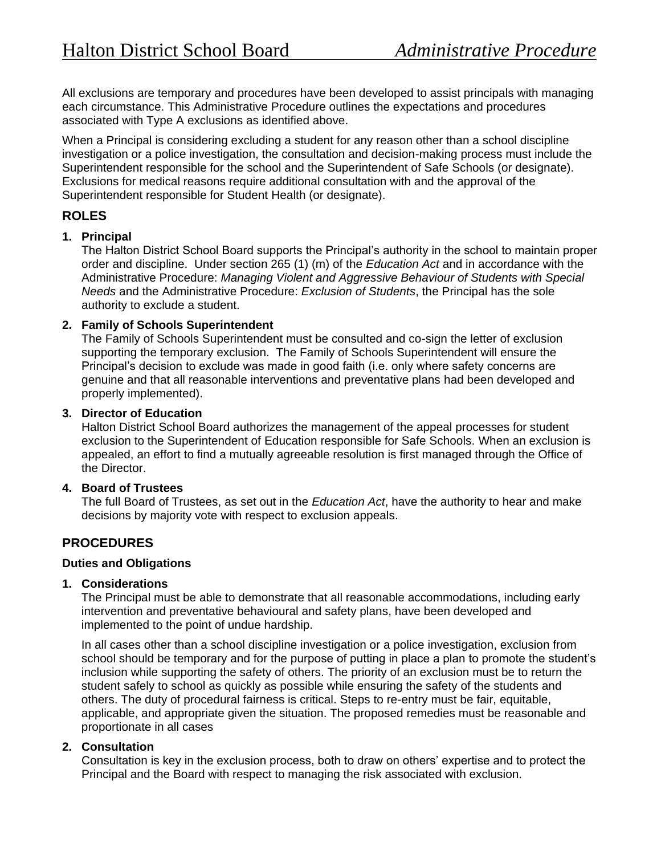All exclusions are temporary and procedures have been developed to assist principals with managing each circumstance. This Administrative Procedure outlines the expectations and procedures associated with Type A exclusions as identified above.

When a Principal is considering excluding a student for any reason other than a school discipline investigation or a police investigation, the consultation and decision-making process must include the Superintendent responsible for the school and the Superintendent of Safe Schools (or designate). Exclusions for medical reasons require additional consultation with and the approval of the Superintendent responsible for Student Health (or designate).

# **ROLES**

## **1. Principal**

The Halton District School Board supports the Principal's authority in the school to maintain proper order and discipline. Under section 265 (1) (m) of the *Education Act* and in accordance with the Administrative Procedure: *Managing Violent and Aggressive Behaviour of Students with Special Needs* and the Administrative Procedure: *Exclusion of Students*, the Principal has the sole authority to exclude a student.

## **2. Family of Schools Superintendent**

The Family of Schools Superintendent must be consulted and co-sign the letter of exclusion supporting the temporary exclusion. The Family of Schools Superintendent will ensure the Principal's decision to exclude was made in good faith (i.e. only where safety concerns are genuine and that all reasonable interventions and preventative plans had been developed and properly implemented).

#### **3. Director of Education**

Halton District School Board authorizes the management of the appeal processes for student exclusion to the Superintendent of Education responsible for Safe Schools. When an exclusion is appealed, an effort to find a mutually agreeable resolution is first managed through the Office of the Director.

## **4. Board of Trustees**

The full Board of Trustees, as set out in the *Education Act*, have the authority to hear and make decisions by majority vote with respect to exclusion appeals.

# **PROCEDURES**

## **Duties and Obligations**

#### **1. Considerations**

The Principal must be able to demonstrate that all reasonable accommodations, including early intervention and preventative behavioural and safety plans, have been developed and implemented to the point of undue hardship.

In all cases other than a school discipline investigation or a police investigation, exclusion from school should be temporary and for the purpose of putting in place a plan to promote the student's inclusion while supporting the safety of others. The priority of an exclusion must be to return the student safely to school as quickly as possible while ensuring the safety of the students and others. The duty of procedural fairness is critical. Steps to re-entry must be fair, equitable, applicable, and appropriate given the situation. The proposed remedies must be reasonable and proportionate in all cases

## **2. Consultation**

Consultation is key in the exclusion process, both to draw on others' expertise and to protect the Principal and the Board with respect to managing the risk associated with exclusion.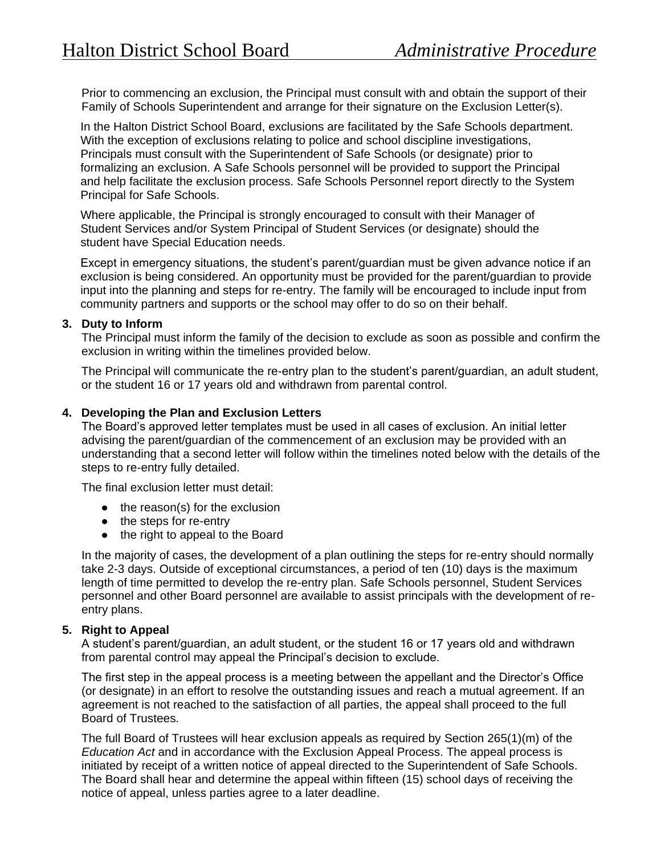Prior to commencing an exclusion, the Principal must consult with and obtain the support of their Family of Schools Superintendent and arrange for their signature on the Exclusion Letter(s).

In the Halton District School Board, exclusions are facilitated by the Safe Schools department. With the exception of exclusions relating to police and school discipline investigations, Principals must consult with the Superintendent of Safe Schools (or designate) prior to formalizing an exclusion. A Safe Schools personnel will be provided to support the Principal and help facilitate the exclusion process. Safe Schools Personnel report directly to the System Principal for Safe Schools.

Where applicable, the Principal is strongly encouraged to consult with their Manager of Student Services and/or System Principal of Student Services (or designate) should the student have Special Education needs.

Except in emergency situations, the student's parent/guardian must be given advance notice if an exclusion is being considered. An opportunity must be provided for the parent/guardian to provide input into the planning and steps for re-entry. The family will be encouraged to include input from community partners and supports or the school may offer to do so on their behalf.

#### **3. Duty to Inform**

The Principal must inform the family of the decision to exclude as soon as possible and confirm the exclusion in writing within the timelines provided below.

The Principal will communicate the re-entry plan to the student's parent/guardian, an adult student, or the student 16 or 17 years old and withdrawn from parental control.

#### **4. Developing the Plan and Exclusion Letters**

The Board's approved letter templates must be used in all cases of exclusion. An initial letter advising the parent/guardian of the commencement of an exclusion may be provided with an understanding that a second letter will follow within the timelines noted below with the details of the steps to re-entry fully detailed.

The final exclusion letter must detail:

- $\bullet$  the reason(s) for the exclusion
- the steps for re-entry
- the right to appeal to the Board

In the majority of cases, the development of a plan outlining the steps for re-entry should normally take 2-3 days. Outside of exceptional circumstances, a period of ten (10) days is the maximum length of time permitted to develop the re-entry plan. Safe Schools personnel, Student Services personnel and other Board personnel are available to assist principals with the development of reentry plans.

#### **5. Right to Appeal**

A student's parent/guardian, an adult student, or the student 16 or 17 years old and withdrawn from parental control may appeal the Principal's decision to exclude.

The first step in the appeal process is a meeting between the appellant and the Director's Office (or designate) in an effort to resolve the outstanding issues and reach a mutual agreement. If an agreement is not reached to the satisfaction of all parties, the appeal shall proceed to the full Board of Trustees.

The full Board of Trustees will hear exclusion appeals as required by Section 265(1)(m) of the *Education Act* and in accordance with the Exclusion Appeal Process. The appeal process is initiated by receipt of a written notice of appeal directed to the Superintendent of Safe Schools. The Board shall hear and determine the appeal within fifteen (15) school days of receiving the notice of appeal, unless parties agree to a later deadline.